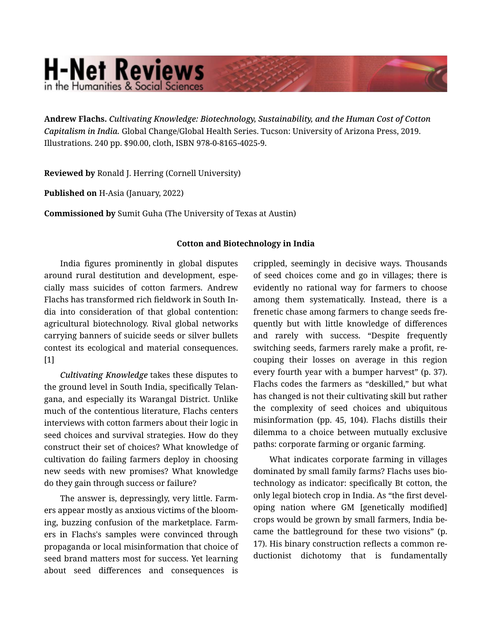## **H-Net Reviews** in the Humanities & Social Scienc

Andrew Flachs. *Cultivating Knowledge: Biotechnology, Sustainability, and the Human Cost of Cotton Capitalism in India.* Global Change/Global Health Series. Tucson: University of Arizona Press, 2019. Illustrations. 240 pp. \$90.00, cloth, ISBN 978-0-8165-4025-9.

Reviewed by Ronald J. Herring (Cornell University)

Published on H-Asia (January, 2022)

Commissioned by Sumit Guha (The University of Texas at Austin)

## Cotton and Biotechnology in India

India figures prominently in global disputes around rural destitution and development, espe‐ cially mass suicides of cotton farmers. Andrew Flachs has transformed rich fieldwork in South In‐ dia into consideration of that global contention: agricultural biotechnology. Rival global networks carrying banners of suicide seeds or silver bullets contest its ecological and material consequences. [1]

*Cultivating Knowledge* takes these disputes to the ground level in South India, specifically Telan‐ gana, and especially its Warangal District. Unlike much of the contentious literature, Flachs centers interviews with cotton farmers about their logic in seed choices and survival strategies. How do they construct their set of choices? What knowledge of cultivation do failing farmers deploy in choosing new seeds with new promises? What knowledge do they gain through success or failure?

The answer is, depressingly, very little. Farm‐ ers appear mostly as anxious victims of the bloom‐ ing, buzzing confusion of the marketplace. Farm‐ ers in Flachs's samples were convinced through propaganda or local misinformation that choice of seed brand matters most for success. Yet learning about seed differences and consequences is

crippled, seemingly in decisive ways. Thousands of seed choices come and go in villages; there is evidently no rational way for farmers to choose among them systematically. Instead, there is a frenetic chase among farmers to change seeds fre‐ quently but with little knowledge of differences and rarely with success. "Despite frequently switching seeds, farmers rarely make a profit, re‐ couping their losses on average in this region every fourth year with a bumper harvest" (p. 37). Flachs codes the farmers as "deskilled," but what has changed is not their cultivating skill but rather the complexity of seed choices and ubiquitous misinformation (pp. 45, 104). Flachs distills their dilemma to a choice between mutually exclusive paths: corporate farming or organic farming.

What indicates corporate farming in villages dominated by small family farms? Flachs uses bio‐ technology as indicator: specifically Bt cotton, the only legal biotech crop in India. As "the first devel‐ oping nation where GM [genetically modified] crops would be grown by small farmers, India be‐ came the battleground for these two visions" (p. 17). His binary construction reflects a common re‐ ductionist dichotomy that is fundamentally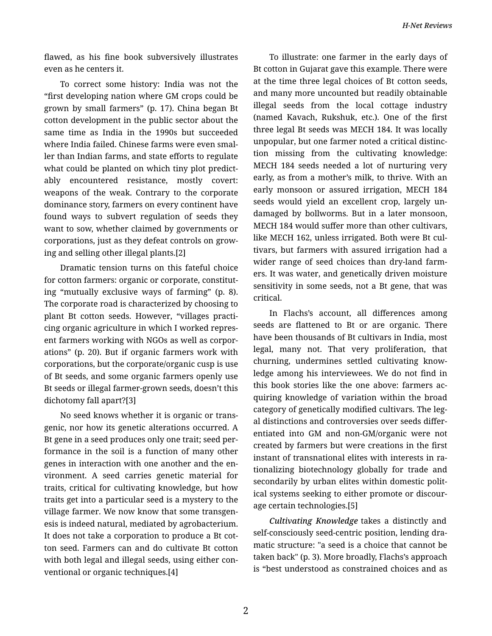flawed, as his fine book subversively illustrates even as he centers it.

To correct some history: India was not the "first developing nation where GM crops could be grown by small farmers" (p. 17). China began Bt cotton development in the public sector about the same time as India in the 1990s but succeeded where India failed. Chinese farms were even smal‐ ler than Indian farms, and state efforts to regulate what could be planted on which tiny plot predictably encountered resistance, mostly covert: weapons of the weak. Contrary to the corporate dominance story, farmers on every continent have found ways to subvert regulation of seeds they want to sow, whether claimed by governments or corporations, just as they defeat controls on grow‐ ing and selling other illegal plants.[2]

Dramatic tension turns on this fateful choice for cotton farmers: organic or corporate, constitut‐ ing "mutually exclusive ways of farming" (p. 8). The corporate road is characterized by choosing to plant Bt cotton seeds. However, "villages practi‐ cing organic agriculture in which I worked repres‐ ent farmers working with NGOs as well as corpor‐ ations" (p. 20). But if organic farmers work with corporations, but the corporate/organic cusp is use of Bt seeds, and some organic farmers openly use Bt seeds or illegal farmer-grown seeds, doesn't this dichotomy fall apart?[3]

No seed knows whether it is organic or trans‐ genic, nor how its genetic alterations occurred. A Bt gene in a seed produces only one trait; seed per‐ formance in the soil is a function of many other genes in interaction with one another and the en‐ vironment. A seed carries genetic material for traits, critical for cultivating knowledge, but how traits get into a particular seed is a mystery to the village farmer. We now know that some transgen‐ esis is indeed natural, mediated by agrobacterium. It does not take a corporation to produce a Bt cot‐ ton seed. Farmers can and do cultivate Bt cotton with both legal and illegal seeds, using either con‐ ventional or organic techniques.[4]

To illustrate: one farmer in the early days of Bt cotton in Gujarat gave this example. There were at the time three legal choices of Bt cotton seeds, and many more uncounted but readily obtainable illegal seeds from the local cottage industry (named Kavach, Rukshuk, etc.). One of the first three legal Bt seeds was MECH 184. It was locally unpopular, but one farmer noted a critical distinc‐ tion missing from the cultivating knowledge: MECH 184 seeds needed a lot of nurturing very early, as from a mother's milk, to thrive. With an early monsoon or assured irrigation, MECH 184 seeds would yield an excellent crop, largely un‐ damaged by bollworms. But in a later monsoon, MECH 184 would suffer more than other cultivars, like MECH 162, unless irrigated. Both were Bt cultivars, but farmers with assured irrigation had a wider range of seed choices than dry-land farm‐ ers. It was water, and genetically driven moisture sensitivity in some seeds, not a Bt gene, that was critical.

In Flachs's account, all differences among seeds are flattened to Bt or are organic. There have been thousands of Bt cultivars in India, most legal, many not. That very proliferation, that churning, undermines settled cultivating know‐ ledge among his interviewees. We do not find in this book stories like the one above: farmers ac‐ quiring knowledge of variation within the broad category of genetically modified cultivars. The leg‐ al distinctions and controversies over seeds differ‐ entiated into GM and non-GM/organic were not created by farmers but were creations in the first instant of transnational elites with interests in ra‐ tionalizing biotechnology globally for trade and secondarily by urban elites within domestic polit‐ ical systems seeking to either promote or discour‐ age certain technologies.[5]

*Cultivating Knowledge* takes a distinctly and self-consciously seed-centric position, lending dra‐ matic structure: "a seed is a choice that cannot be taken back" (p. 3). More broadly, Flachs's approach is "best understood as constrained choices and as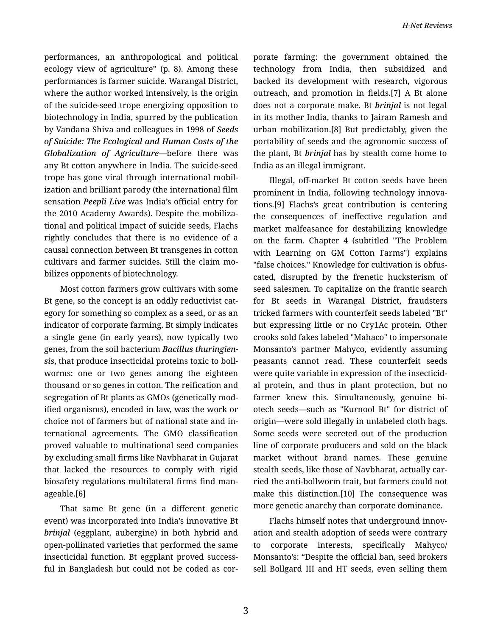performances, an anthropological and political ecology view of agriculture" (p. 8). Among these performances is farmer suicide. Warangal District, where the author worked intensively, is the origin of the suicide-seed trope energizing opposition to biotechnology in India, spurred by the publication by Vandana Shiva and colleagues in 1998 of *Seeds of Suicide: The Ecological and Human Costs of the Globalization of Agriculture*—before there was any Bt cotton anywhere in India. The suicide-seed trope has gone viral through international mobil‐ ization and brilliant parody (the international film sensation *Peepli Live* was India's official entry for the 2010 Academy Awards). Despite the mobiliza‐ tional and political impact of suicide seeds, Flachs rightly concludes that there is no evidence of a causal connection between Bt transgenes in cotton cultivars and farmer suicides. Still the claim mo‐ bilizes opponents of biotechnology.

Most cotton farmers grow cultivars with some Bt gene, so the concept is an oddly reductivist cat‐ egory for something so complex as a seed, or as an indicator of corporate farming. Bt simply indicates a single gene (in early years), now typically two genes, from the soil bacterium *Bacillus thuringien‐ sis*, that produce insecticidal proteins toxic to boll‐ worms: one or two genes among the eighteen thousand or so genes in cotton. The reification and segregation of Bt plants as GMOs (genetically mod‐ ified organisms), encoded in law, was the work or choice not of farmers but of national state and in‐ ternational agreements. The GMO classification proved valuable to multinational seed companies by excluding small firms like Navbharat in Gujarat that lacked the resources to comply with rigid biosafety regulations multilateral firms find man‐ ageable.[6]

That same Bt gene (in a different genetic event) was incorporated into India's innovative Bt *brinjal* (eggplant, aubergine) in both hybrid and open-pollinated varieties that performed the same insecticidal function. Bt eggplant proved success‐ ful in Bangladesh but could not be coded as cor‐ porate farming: the government obtained the technology from India, then subsidized and backed its development with research, vigorous outreach, and promotion in fields.[7] A Bt alone does not a corporate make. Bt *brinjal* is not legal in its mother India, thanks to Jairam Ramesh and urban mobilization.[8] But predictably, given the portability of seeds and the agronomic success of the plant, Bt *brinjal* has by stealth come home to India as an illegal immigrant.

Illegal, off-market Bt cotton seeds have been prominent in India, following technology innova‐ tions.[9] Flachs's great contribution is centering the consequences of ineffective regulation and market malfeasance for destabilizing knowledge on the farm. Chapter 4 (subtitled "The Problem with Learning on GM Cotton Farms") explains "false choices." Knowledge for cultivation is obfus‐ cated, disrupted by the frenetic hucksterism of seed salesmen. To capitalize on the frantic search for Bt seeds in Warangal District, fraudsters tricked farmers with counterfeit seeds labeled "Bt" but expressing little or no Cry1Ac protein. Other crooks sold fakes labeled "Mahaco" to impersonate Monsanto's partner Mahyco, evidently assuming peasants cannot read. These counterfeit seeds were quite variable in expression of the insecticidal protein, and thus in plant protection, but no farmer knew this. Simultaneously, genuine biotech seeds—such as "Kurnool Bt" for district of origin—were sold illegally in unlabeled cloth bags. Some seeds were secreted out of the production line of corporate producers and sold on the black market without brand names. These genuine stealth seeds, like those of Navbharat, actually car‐ ried the anti-bollworm trait, but farmers could not make this distinction.[10] The consequence was more genetic anarchy than corporate dominance.

Flachs himself notes that underground innov‐ ation and stealth adoption of seeds were contrary to corporate interests, specifically Mahyco/ Monsanto's: "Despite the official ban, seed brokers sell Bollgard III and HT seeds, even selling them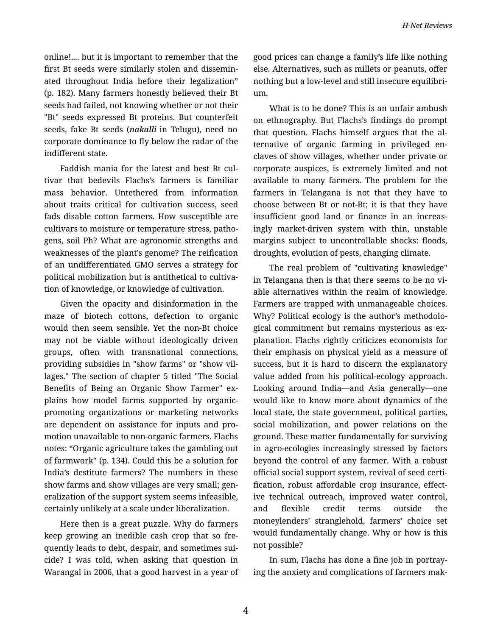online!.... but it is important to remember that the first Bt seeds were similarly stolen and dissemin‐ ated throughout India before their legalization" (p. 182). Many farmers honestly believed their Bt seeds had failed, not knowing whether or not their "Bt" seeds expressed Bt proteins. But counterfeit seeds, fake Bt seeds (*nakalli* in Telugu), need no corporate dominance to fly below the radar of the indifferent state.

Faddish mania for the latest and best Bt cul‐ tivar that bedevils Flachs's farmers is familiar mass behavior. Untethered from information about traits critical for cultivation success, seed fads disable cotton farmers. How susceptible are cultivars to moisture or temperature stress, patho‐ gens, soil Ph? What are agronomic strengths and weaknesses of the plant's genome? The reification of an undifferentiated GMO serves a strategy for political mobilization but is antithetical to cultiva‐ tion of knowledge, or knowledge of cultivation.

Given the opacity and disinformation in the maze of biotech cottons, defection to organic would then seem sensible. Yet the non-Bt choice may not be viable without ideologically driven groups, often with transnational connections, providing subsidies in "show farms" or "show vil‐ lages." The section of chapter 5 titled "The Social Benefits of Being an Organic Show Farmer" ex‐ plains how model farms supported by organicpromoting organizations or marketing networks are dependent on assistance for inputs and pro‐ motion unavailable to non-organic farmers. Flachs notes: "Organic agriculture takes the gambling out of farmwork" (p. 134). Could this be a solution for India's destitute farmers? The numbers in these show farms and show villages are very small; gen‐ eralization of the support system seems infeasible, certainly unlikely at a scale under liberalization.

Here then is a great puzzle. Why do farmers keep growing an inedible cash crop that so fre‐ quently leads to debt, despair, and sometimes sui‐ cide? I was told, when asking that question in Warangal in 2006, that a good harvest in a year of good prices can change a family's life like nothing else. Alternatives, such as millets or peanuts, offer nothing but a low-level and still insecure equilibri‐ um.

What is to be done? This is an unfair ambush on ethnography. But Flachs's findings do prompt that question. Flachs himself argues that the al‐ ternative of organic farming in privileged en‐ claves of show villages, whether under private or corporate auspices, is extremely limited and not available to many farmers. The problem for the farmers in Telangana is not that they have to choose between Bt or not-Bt; it is that they have insufficient good land or finance in an increas‐ ingly market-driven system with thin, unstable margins subject to uncontrollable shocks: floods, droughts, evolution of pests, changing climate.

The real problem of "cultivating knowledge" in Telangana then is that there seems to be no vi‐ able alternatives within the realm of knowledge. Farmers are trapped with unmanageable choices. Why? Political ecology is the author's methodolo‐ gical commitment but remains mysterious as ex‐ planation. Flachs rightly criticizes economists for their emphasis on physical yield as a measure of success, but it is hard to discern the explanatory value added from his political-ecology approach. Looking around India—and Asia generally—one would like to know more about dynamics of the local state, the state government, political parties, social mobilization, and power relations on the ground. These matter fundamentally for surviving in agro-ecologies increasingly stressed by factors beyond the control of any farmer. With a robust official social support system, revival of seed certi‐ fication, robust affordable crop insurance, effect‐ ive technical outreach, improved water control, and flexible credit terms outside the moneylenders' stranglehold, farmers' choice set would fundamentally change. Why or how is this not possible?

In sum, Flachs has done a fine job in portray‐ ing the anxiety and complications of farmers mak‐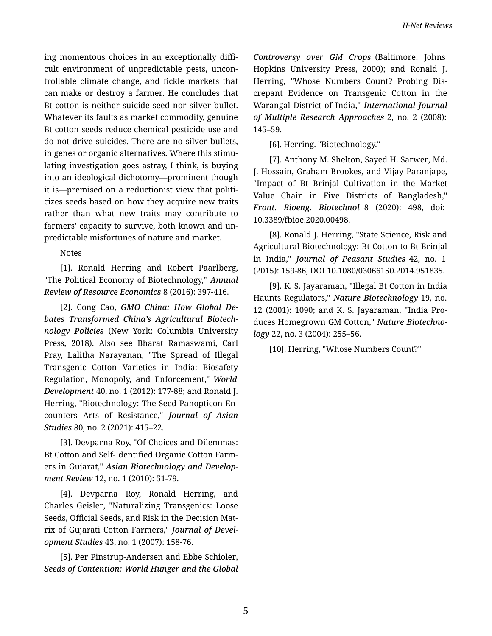ing momentous choices in an exceptionally diffi‐ cult environment of unpredictable pests, uncon‐ trollable climate change, and fickle markets that can make or destroy a farmer. He concludes that Bt cotton is neither suicide seed nor silver bullet. Whatever its faults as market commodity, genuine Bt cotton seeds reduce chemical pesticide use and do not drive suicides. There are no silver bullets, in genes or organic alternatives. Where this stimulating investigation goes astray, I think, is buying into an ideological dichotomy—prominent though it is—premised on a reductionist view that politi‐ cizes seeds based on how they acquire new traits rather than what new traits may contribute to farmers' capacity to survive, both known and un‐ predictable misfortunes of nature and market.

Notes

[1]. Ronald Herring and Robert Paarlberg, "The Political Economy of Biotechnology," *Annual Review of Resource Economics* 8 (2016): 397-416.

[2]. Cong Cao, *GMO China: How Global De‐ bates Transformed China's Agricultural Biotech‐ nology Policies* (New York: Columbia University Press, 2018). Also see Bharat Ramaswami, Carl Pray, Lalitha Narayanan, "The Spread of Illegal Transgenic Cotton Varieties in India: Biosafety Regulation, Monopoly, and Enforcement," *World Development* 40, no. 1 (2012): 177-88; and Ronald J. Herring, "Biotechnology: The Seed Panopticon En‐ counters Arts of Resistance," *Journal of Asian Studies* 80, no. 2 (2021): 415–22.

[3]. Devparna Roy, "Of Choices and Dilemmas: Bt Cotton and Self-Identified Organic Cotton Farm‐ ers in Gujarat," *Asian Biotechnology and Develop‐ ment Review* 12, no. 1 (2010): 51-79.

[4]. Devparna Roy, Ronald Herring, and Charles Geisler, "Naturalizing Transgenics: Loose Seeds, Official Seeds, and Risk in the Decision Mat‐ rix of Gujarati Cotton Farmers," *Journal of Devel‐ opment Studies* 43, no. 1 (2007): 158-76.

[5]. Per Pinstrup-Andersen and Ebbe Schioler, *Seeds of Contention: World Hunger and the Global*

*Controversy over GM Crops* (Baltimore: Johns Hopkins University Press, 2000); and Ronald J. Herring, "Whose Numbers Count? Probing Dis‐ crepant Evidence on Transgenic Cotton in the Warangal District of India," *International Journal of Multiple Research Approaches* 2, no. 2 (2008): 145–59.

[6]. Herring. "Biotechnology."

[7]. Anthony M. Shelton, Sayed H. Sarwer, Md. J. Hossain, Graham Brookes, and Vijay Paranjape, "Impact of Bt Brinjal Cultivation in the Market Value Chain in Five Districts of Bangladesh," *Front. Bioeng. Biotechnol* 8 (2020): 498, doi: 10.3389/fbioe.2020.00498.

[8]. Ronald J. Herring, "State Science, Risk and Agricultural Biotechnology: Bt Cotton to Bt Brinjal in India," *Journal of Peasant Studies* 42, no. 1 (2015): 159-86, DOI 10.1080/03066150.2014.951835.

[9]. K. S. Jayaraman, "Illegal Bt Cotton in India Haunts Regulators," *Nature Biotechnology* 19, no. 12 (2001): 1090; and K. S. Jayaraman, "India Pro‐ duces Homegrown GM Cotton," *Nature Biotechno‐ logy* 22, no. 3 (2004): 255–56.

[10]. Herring, "Whose Numbers Count?"